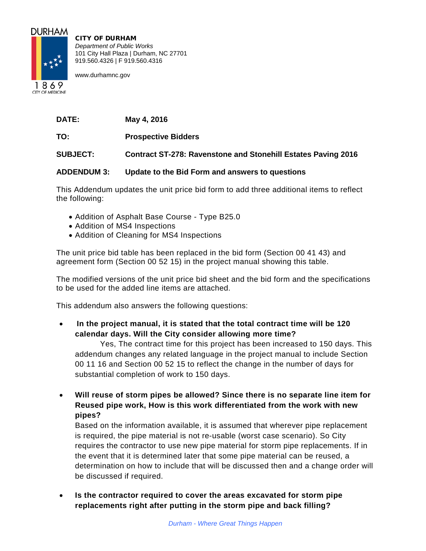

CITY OF DURHAM *Department of Public Works* 101 City Hall Plaza | Durham, NC 27701 919.560.4326 | F 919.560.4316

www.durhamnc.gov

1869 **CITY OF MEDICINE** 

**DATE: May 4, 2016**

**TO: Prospective Bidders**

**SUBJECT: Contract ST-278: Ravenstone and Stonehill Estates Paving 2016**

# **ADDENDUM 3: Update to the Bid Form and answers to questions**

This Addendum updates the unit price bid form to add three additional items to reflect the following:

- Addition of Asphalt Base Course Type B25.0
- Addition of MS4 Inspections
- Addition of Cleaning for MS4 Inspections

The unit price bid table has been replaced in the bid form (Section 00 41 43) and agreement form (Section 00 52 15) in the project manual showing this table.

The modified versions of the unit price bid sheet and the bid form and the specifications to be used for the added line items are attached.

This addendum also answers the following questions:

• **In the project manual, it is stated that the total contract time will be 120 calendar days. Will the City consider allowing more time?**

Yes, The contract time for this project has been increased to 150 days. This addendum changes any related language in the project manual to include Section 00 11 16 and Section 00 52 15 to reflect the change in the number of days for substantial completion of work to 150 days.

• **Will reuse of storm pipes be allowed? Since there is no separate line item for Reused pipe work, How is this work differentiated from the work with new pipes?**

Based on the information available, it is assumed that wherever pipe replacement is required, the pipe material is not re-usable (worst case scenario). So City requires the contractor to use new pipe material for storm pipe replacements. If in the event that it is determined later that some pipe material can be reused, a determination on how to include that will be discussed then and a change order will be discussed if required.

• **Is the contractor required to cover the areas excavated for storm pipe replacements right after putting in the storm pipe and back filling?**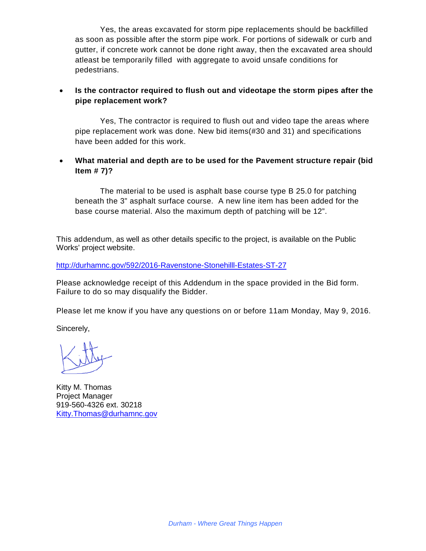Yes, the areas excavated for storm pipe replacements should be backfilled as soon as possible after the storm pipe work. For portions of sidewalk or curb and gutter, if concrete work cannot be done right away, then the excavated area should atleast be temporarily filled with aggregate to avoid unsafe conditions for pedestrians.

# • **Is the contractor required to flush out and videotape the storm pipes after the pipe replacement work?**

Yes, The contractor is required to flush out and video tape the areas where pipe replacement work was done. New bid items(#30 and 31) and specifications have been added for this work.

# • **What material and depth are to be used for the Pavement structure repair (bid Item # 7)?**

The material to be used is asphalt base course type B 25.0 for patching beneath the 3" asphalt surface course. A new line item has been added for the base course material. Also the maximum depth of patching will be 12".

This addendum, as well as other details specific to the project, is available on the Public Works' project website.

<http://durhamnc.gov/592/2016-Ravenstone-Stonehilll-Estates-ST-27>

Please acknowledge receipt of this Addendum in the space provided in the Bid form. Failure to do so may disqualify the Bidder.

Please let me know if you have any questions on or before 11am Monday, May 9, 2016.

Sincerely,

Kitty M. Thomas Project Manager 919-560-4326 ext. 30218 [Kitty.Thomas@durhamnc.gov](mailto:Kitty.Thomas@durhamnc.gov)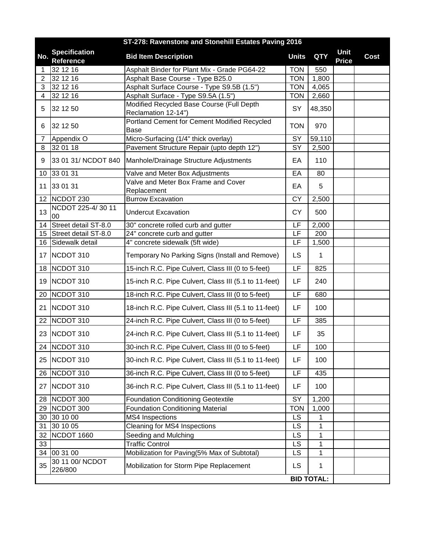|                 | ST-278: Ravenstone and Stonehill Estates Paving 2016 |                                                                  |                          |                   |                      |      |
|-----------------|------------------------------------------------------|------------------------------------------------------------------|--------------------------|-------------------|----------------------|------|
| No.             | <b>Specification</b><br>Reference                    | <b>Bid Item Description</b>                                      | <b>Units</b>             | <b>QTY</b>        | Unit<br><b>Price</b> | Cost |
| 1               | 32 12 16                                             | Asphalt Binder for Plant Mix - Grade PG64-22                     | <b>TON</b>               | 550               |                      |      |
| 2               | 32 12 16                                             | Asphalt Base Course - Type B25.0                                 | <b>TON</b>               | 1,800             |                      |      |
| 3               | 32 12 16                                             | Asphalt Surface Course - Type S9.5B (1.5")                       | <b>TON</b>               | 4,065             |                      |      |
| 4               | 32 12 16                                             | Asphalt Surface - Type S9.5A (1.5")                              | <b>TON</b>               | 2,660             |                      |      |
| 5               | 32 12 50                                             | Modified Recycled Base Course (Full Depth<br>Reclamation 12-14") | SY                       | 48,350            |                      |      |
| 6               | 32 12 50                                             | Portland Cement for Cement Modified Recycled<br>Base             | <b>TON</b>               | 970               |                      |      |
| 7               | Appendix O                                           | Micro-Surfacing (1/4" thick overlay)                             | SY                       | 59,110            |                      |      |
| 8               | 32 01 18                                             | Pavement Structure Repair (upto depth 12")                       | SY                       | 2,500             |                      |      |
| 9               | 33 01 31/ NCDOT 840                                  | Manhole/Drainage Structure Adjustments                           | EA                       | 110               |                      |      |
| 10 <sup>°</sup> | 33 01 31                                             | Valve and Meter Box Adjustments                                  | EA                       | 80                |                      |      |
| 11              | 33 01 31                                             | Valve and Meter Box Frame and Cover<br>Replacement               | EA                       | 5                 |                      |      |
|                 | 12 NCDOT 230                                         | <b>Burrow Excavation</b>                                         | <b>CY</b>                | 2,500             |                      |      |
| 13              | NCDOT 225-4/30 11<br>00                              | <b>Undercut Excavation</b>                                       | <b>CY</b>                | 500               |                      |      |
| 14              | Street detail ST-8.0                                 | 30" concrete rolled curb and gutter                              | LF                       | 2,000             |                      |      |
| 15              | Street detail ST-8.0                                 | 24" concrete curb and gutter                                     | $\overline{\mathsf{LF}}$ | 200               |                      |      |
| 16              | Sidewalk detail                                      | 4" concrete sidewalk (5ft wide)                                  | LF                       | 1,500             |                      |      |
|                 | 17 NCDOT 310                                         | Temporary No Parking Signs (Install and Remove)                  | <b>LS</b>                | 1                 |                      |      |
|                 | 18 NCDOT 310                                         | 15-inch R.C. Pipe Culvert, Class III (0 to 5-feet)               | LF                       | 825               |                      |      |
| 19              | NCDOT 310                                            | 15-inch R.C. Pipe Culvert, Class III (5.1 to 11-feet)            | LF                       | 240               |                      |      |
| 20              | NCDOT 310                                            | 18-inch R.C. Pipe Culvert, Class III (0 to 5-feet)               | LF                       | 680               |                      |      |
| 21              | NCDOT 310                                            | 18-inch R.C. Pipe Culvert, Class III (5.1 to 11-feet)            | LF                       | 100               |                      |      |
| 22              | NCDOT 310                                            | 24-inch R.C. Pipe Culvert, Class III (0 to 5-feet)               | LF                       | 385               |                      |      |
|                 | 23 NCDOT 310                                         | 24-inch R.C. Pipe Culvert, Class III (5.1 to 11-feet)            | LF                       | 35                |                      |      |
|                 | 24 NCDOT 310                                         | 30-inch R.C. Pipe Culvert, Class III (0 to 5-feet)               | LF                       | 100               |                      |      |
|                 | 25 NCDOT 310                                         | 30-inch R.C. Pipe Culvert, Class III (5.1 to 11-feet)            | LF                       | 100               |                      |      |
| 26              | NCDOT 310                                            | 36-inch R.C. Pipe Culvert, Class III (0 to 5-feet)               | LF                       | 435               |                      |      |
|                 | 27 NCDOT 310                                         | 36-inch R.C. Pipe Culvert, Class III (5.1 to 11-feet)            | LF                       | 100               |                      |      |
| 28              | NCDOT 300                                            | <b>Foundation Conditioning Geotextile</b>                        | SY                       | 1,200             |                      |      |
|                 | 29 NCDOT 300                                         | <b>Foundation Conditioning Material</b>                          | <b>TON</b>               | 1,000             |                      |      |
| 30              | 30 10 00                                             | MS4 Inspections                                                  | <b>LS</b>                | 1                 |                      |      |
| 31              | 30 10 05                                             | <b>Cleaning for MS4 Inspections</b>                              | LS                       | 1                 |                      |      |
| 32              | NCDOT 1660                                           | Seeding and Mulching                                             | LS                       | 1                 |                      |      |
| 33              |                                                      | <b>Traffic Control</b>                                           | LS                       | 1                 |                      |      |
|                 | 34 00 31 00                                          | Mobilization for Paving(5% Max of Subtotal)                      | <b>LS</b>                | 1                 |                      |      |
| 35              | 30 11 00/ NCDOT<br>226/800                           | Mobilization for Storm Pipe Replacement                          | <b>LS</b>                | 1                 |                      |      |
|                 |                                                      |                                                                  |                          | <b>BID TOTAL:</b> |                      |      |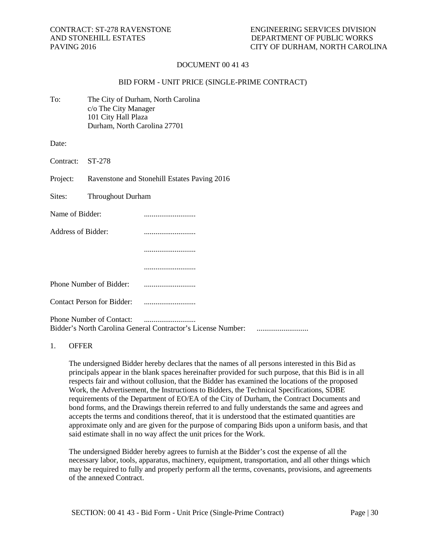## DOCUMENT 00 41 43

#### BID FORM - UNIT PRICE (SINGLE-PRIME CONTRACT)

| To: | The City of Durham, North Carolina |
|-----|------------------------------------|
|     | c/o The City Manager               |
|     | 101 City Hall Plaza                |
|     | Durham, North Carolina 27701       |

Date:

Contract: ST-278

Project: Ravenstone and Stonehill Estates Paving 2016

Sites: Throughout Durham

| Name of Bidder:    |  |
|--------------------|--|
| Address of Bidder: |  |

...........................

Phone Number of Bidder: ...........................

...........................

Contact Person for Bidder: ...........................

Phone Number of Contact: ........................... Bidder's North Carolina General Contractor's License Number: ...........................

#### 1. OFFER

The undersigned Bidder hereby declares that the names of all persons interested in this Bid as principals appear in the blank spaces hereinafter provided for such purpose, that this Bid is in all respects fair and without collusion, that the Bidder has examined the locations of the proposed Work, the Advertisement, the Instructions to Bidders, the Technical Specifications, SDBE requirements of the Department of EO/EA of the City of Durham, the Contract Documents and bond forms, and the Drawings therein referred to and fully understands the same and agrees and accepts the terms and conditions thereof, that it is understood that the estimated quantities are approximate only and are given for the purpose of comparing Bids upon a uniform basis, and that said estimate shall in no way affect the unit prices for the Work.

The undersigned Bidder hereby agrees to furnish at the Bidder's cost the expense of all the necessary labor, tools, apparatus, machinery, equipment, transportation, and all other things which may be required to fully and properly perform all the terms, covenants, provisions, and agreements of the annexed Contract.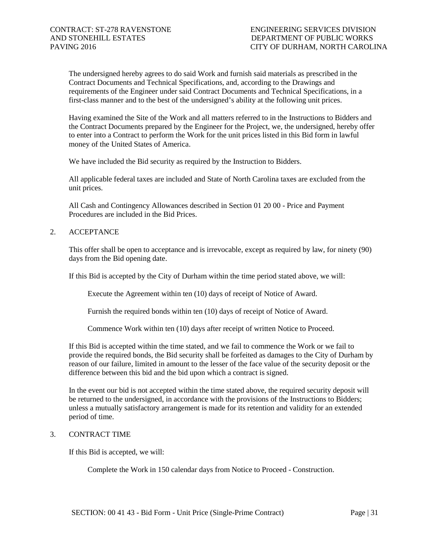The undersigned hereby agrees to do said Work and furnish said materials as prescribed in the Contract Documents and Technical Specifications, and, according to the Drawings and requirements of the Engineer under said Contract Documents and Technical Specifications, in a first-class manner and to the best of the undersigned's ability at the following unit prices.

Having examined the Site of the Work and all matters referred to in the Instructions to Bidders and the Contract Documents prepared by the Engineer for the Project, we, the undersigned, hereby offer to enter into a Contract to perform the Work for the unit prices listed in this Bid form in lawful money of the United States of America.

We have included the Bid security as required by the Instruction to Bidders.

All applicable federal taxes are included and State of North Carolina taxes are excluded from the unit prices.

All Cash and Contingency Allowances described in Section 01 20 00 - Price and Payment Procedures are included in the Bid Prices.

2. ACCEPTANCE

This offer shall be open to acceptance and is irrevocable, except as required by law, for ninety (90) days from the Bid opening date.

If this Bid is accepted by the City of Durham within the time period stated above, we will:

Execute the Agreement within ten (10) days of receipt of Notice of Award.

Furnish the required bonds within ten (10) days of receipt of Notice of Award.

Commence Work within ten (10) days after receipt of written Notice to Proceed.

If this Bid is accepted within the time stated, and we fail to commence the Work or we fail to provide the required bonds, the Bid security shall be forfeited as damages to the City of Durham by reason of our failure, limited in amount to the lesser of the face value of the security deposit or the difference between this bid and the bid upon which a contract is signed.

In the event our bid is not accepted within the time stated above, the required security deposit will be returned to the undersigned, in accordance with the provisions of the Instructions to Bidders; unless a mutually satisfactory arrangement is made for its retention and validity for an extended period of time.

## 3. CONTRACT TIME

If this Bid is accepted, we will:

Complete the Work in 150 calendar days from Notice to Proceed - Construction.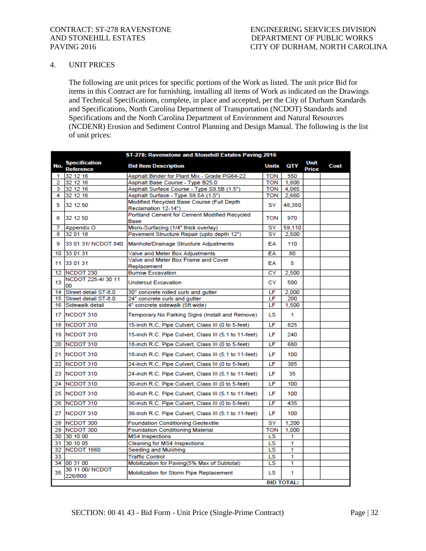## 4. UNIT PRICES

The following are unit prices for specific portions of the Work as listed. The unit price Bid for items in this Contract are for furnishing, installing all items of Work as indicated on the Drawings and Technical Specifications, complete, in place and accepted, per the City of Durham Standards and Specifications, North Carolina Department of Transportation (NCDOT) Standards and Specifications and the North Carolina Department of Environment and Natural Resources (NCDENR) Erosion and Sediment Control Planning and Design Manual. The following is the list of unit prices:

|     | ST-278: Ravenstone and Stonehill Estates Paving 2016 |                                                       |              |                   |               |      |
|-----|------------------------------------------------------|-------------------------------------------------------|--------------|-------------------|---------------|------|
| No. | <b>Specification</b><br><b>Reference</b>             | <b>Bid Item Description</b>                           | <b>Units</b> | QTY               | Unit<br>Price | Cost |
| 1   | 32 12 16                                             | Asphalt Binder for Plant Mix - Grade PG64-22          | <b>TON</b>   | 550               |               |      |
| 2   | 32 12 16                                             | Asphalt Base Course - Type B25.0                      | TON          | 1,800             |               |      |
| 3   | 32 12 16                                             | Asphalt Surface Course - Type S9.5B (1.5")            | <b>TON</b>   | 4.065             |               |      |
| 4   | 32 12 16                                             | Asphalt Surface - Type S9.5A (1.5")                   | <b>TON</b>   | 2,660             |               |      |
| 5   | 32 12 50                                             | Modified Recycled Base Course (Full Depth             | SY           | 48,350            |               |      |
|     |                                                      | Reclamation 12-14")                                   |              |                   |               |      |
| 6   | 32 12 50                                             | Portland Cement for Cement Modified Recycled<br>Base  | TON          | 970               |               |      |
| 7   | Appendix O                                           | Micro-Surfacing (1/4" thick overlay)                  | SY           | 59,110            |               |      |
| 8   | 32 01 18                                             | Pavement Structure Repair (upto depth 12")            | SY           | 2,500             |               |      |
| 9   | 33 01 31/ NCDOT 840                                  | Manhole/Drainage Structure Adjustments                | EA           | 110               |               |      |
| 10  | 33 01 31                                             | Valve and Meter Box Adjustments                       | EA           | 80                |               |      |
| 11  | 33 01 31                                             | Valve and Meter Box Frame and Cover<br>Replacement    | EA           | 5                 |               |      |
| 12  | NCDOT <sub>230</sub>                                 | <b>Burrow Excavation</b>                              | CY           | 2,500             |               |      |
| 13  | NCDOT 225-4/30 11<br>00                              | <b>Undercut Excavation</b>                            | СY           | 500               |               |      |
| 14  | Street detail ST-8.0                                 | 30" concrete rolled curb and gutter                   | LF           | 2,000             |               |      |
| 15  | Street detail ST-8.0                                 | 24" concrete curb and gutter                          | LF           | 200               |               |      |
| 16  | Sidewalk detail                                      | 4" concrete sidewalk (5ft wide)                       | LF           | 1.500             |               |      |
| 17  | NCDOT 310                                            | Temporary No Parking Signs (Install and Remove)       | LS.          | 1                 |               |      |
| 18  | NCDOT 310                                            | 15-inch R.C. Pipe Culvert, Class III (0 to 5-feet)    | LF           | 825               |               |      |
| 19  | NCDOT 310                                            | 15-inch R.C. Pipe Culvert, Class III (5.1 to 11-feet) | LF           | 240               |               |      |
| 20  | NCDOT 310                                            | 18-inch R.C. Pipe Culvert, Class III (0 to 5-feet)    | LF           | 680               |               |      |
| 21  | NCDOT 310                                            | 18-inch R.C. Pipe Culvert, Class III (5.1 to 11-feet) | LF           | 100               |               |      |
| 22  | NCDOT 310                                            | 24-inch R.C. Pipe Culvert, Class III (0 to 5-feet)    | LF           | 385               |               |      |
| 23  | NCDOT 310                                            | 24-inch R.C. Pipe Culvert, Class III (5.1 to 11-feet) | LF           | 35                |               |      |
| 24  | NCDOT 310                                            | 30-inch R.C. Pipe Culvert, Class III (0 to 5-feet)    | LF           | 100               |               |      |
| 25  | NCDOT 310                                            | 30-inch R.C. Pipe Culvert, Class III (5.1 to 11-feet) | LF           | 100               |               |      |
| 26  | NCDOT 310                                            | 36-inch R.C. Pipe Culvert, Class III (0 to 5-feet)    | LF           | 435               |               |      |
| 27  | NCDOT 310                                            | 36-inch R.C. Pipe Culvert, Class III (5.1 to 11-feet) | LF           | 100               |               |      |
|     | 28 NCDOT 300                                         | <b>Foundation Conditioning Geotextile</b>             | SY           | 1.200             |               |      |
| 29. | NCDOT 300                                            | <b>Foundation Conditioning Material</b>               | TON          | 1,000             |               |      |
| 30  | 30 10 00                                             | <b>MS4</b> Inspections                                | LS.          | 1                 |               |      |
| 31  | 30 10 05                                             | <b>Cleaning for MS4 Inspections</b>                   | LS           | 1                 |               |      |
| 32  | NCDOT 1660                                           | Seeding and Mulching                                  | LS           | 1                 |               |      |
| 33  |                                                      | <b>Traffic Control</b>                                | LS           | 1                 |               |      |
|     | 34 00 31 00                                          | Mobilization for Paving(5% Max of Subtotal)           | LS           | 1                 |               |      |
| 35  | 30 11 00/ NCDOT<br>226/800                           | Mobilization for Storm Pipe Replacement               | LS.          | 1                 |               |      |
|     |                                                      |                                                       |              | <b>BID TOTAL:</b> |               |      |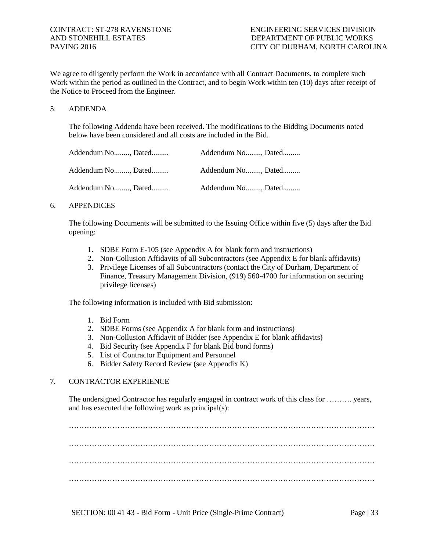We agree to diligently perform the Work in accordance with all Contract Documents, to complete such Work within the period as outlined in the Contract, and to begin Work within ten (10) days after receipt of the Notice to Proceed from the Engineer.

#### 5. ADDENDA

The following Addenda have been received. The modifications to the Bidding Documents noted below have been considered and all costs are included in the Bid.

| Addendum No, Dated | Addendum No, Dated |
|--------------------|--------------------|
| Addendum No, Dated | Addendum No, Dated |
| Addendum No, Dated | Addendum No, Dated |

#### 6. APPENDICES

The following Documents will be submitted to the Issuing Office within five (5) days after the Bid opening:

- 1. SDBE Form E-105 (see Appendix A for blank form and instructions)
- 2. Non-Collusion Affidavits of all Subcontractors (see Appendix E for blank affidavits)
- 3. Privilege Licenses of all Subcontractors (contact the City of Durham, Department of Finance, Treasury Management Division, (919) 560-4700 for information on securing privilege licenses)

The following information is included with Bid submission:

- 1. Bid Form
- 2. SDBE Forms (see Appendix A for blank form and instructions)
- 3. Non-Collusion Affidavit of Bidder (see Appendix E for blank affidavits)
- 4. Bid Security (see Appendix F for blank Bid bond forms)
- 5. List of Contractor Equipment and Personnel
- 6. Bidder Safety Record Review (see Appendix K)

# 7. CONTRACTOR EXPERIENCE

The undersigned Contractor has regularly engaged in contract work of this class for ………. years, and has executed the following work as principal(s):

………………………………………………………………………………………………………… ………………………………………………………………………………………………………… ………………………………………………………………………………………………………… …………………………………………………………………………………………………………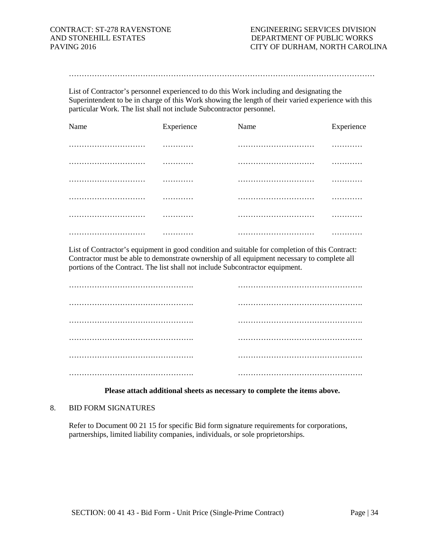…………………………………………………………………………………………………………

List of Contractor's personnel experienced to do this Work including and designating the Superintendent to be in charge of this Work showing the length of their varied experience with this particular Work. The list shall not include Subcontractor personnel.

| Name | Experience | Name | Experience |
|------|------------|------|------------|
|      | .          |      | .          |
|      | .          |      | .          |
|      | .          |      | .          |
|      | .          |      | .          |
|      | .          |      | .          |
|      | .          |      | .          |

List of Contractor's equipment in good condition and suitable for completion of this Contract: Contractor must be able to demonstrate ownership of all equipment necessary to complete all portions of the Contract. The list shall not include Subcontractor equipment.

#### **Please attach additional sheets as necessary to complete the items above.**

#### 8. BID FORM SIGNATURES

Refer to Document 00 21 15 for specific Bid form signature requirements for corporations, partnerships, limited liability companies, individuals, or sole proprietorships.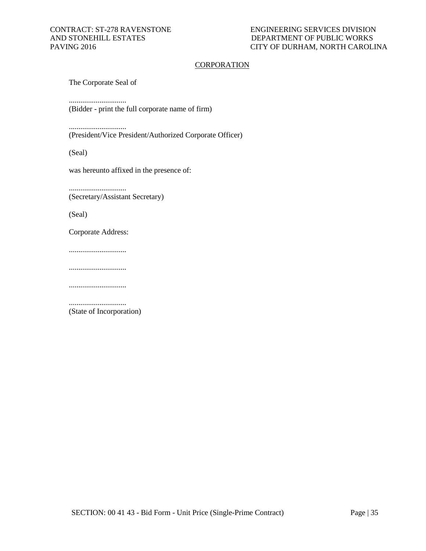## **CORPORATION**

The Corporate Seal of

..............................

(Bidder - print the full corporate name of firm)

..............................

(President/Vice President/Authorized Corporate Officer)

(Seal)

was hereunto affixed in the presence of:

.............................. (Secretary/Assistant Secretary)

(Seal)

Corporate Address:

..............................

..............................

..............................

.............................. (State of Incorporation)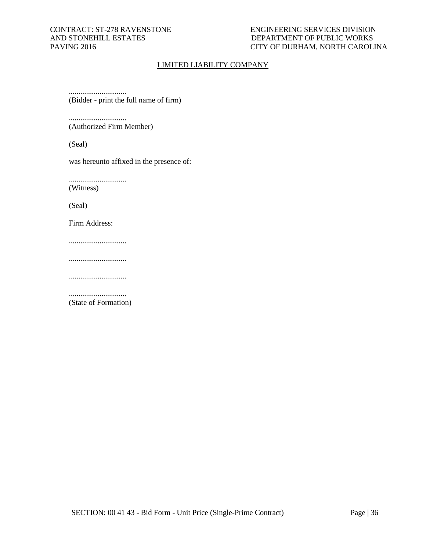## CONTRACT: ST-278 RAVENSTONE ENGINEERING SERVICES DIVISION AND STONEHILL ESTATES DEPARTMENT OF PUBLIC WORKS PAVING 2016 DEPARTMENT OF PUBLIC WORKS CITY OF DURHAM, NORTH CAROLINA

## LIMITED LIABILITY COMPANY

.............................. (Bidder - print the full name of firm)

.............................. (Authorized Firm Member)

(Seal)

was hereunto affixed in the presence of:

..............................

(Witness)

(Seal)

Firm Address:

..............................

..............................

..............................

.............................. (State of Formation)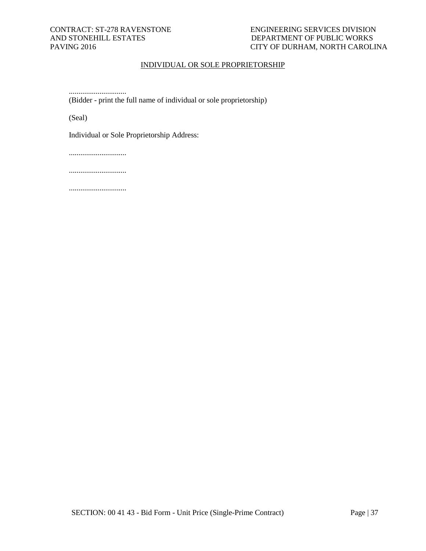## CONTRACT: ST-278 RAVENSTONE ENGINEERING SERVICES DIVISION AND STONEHILL ESTATES DEPARTMENT OF PUBLIC WORKS PAVING 2016 DEPARTMENT OF PUBLIC WORKS CITY OF DURHAM, NORTH CAROLINA

## INDIVIDUAL OR SOLE PROPRIETORSHIP

.............................. (Bidder - print the full name of individual or sole proprietorship)

(Seal)

Individual or Sole Proprietorship Address:

..............................

..............................

..............................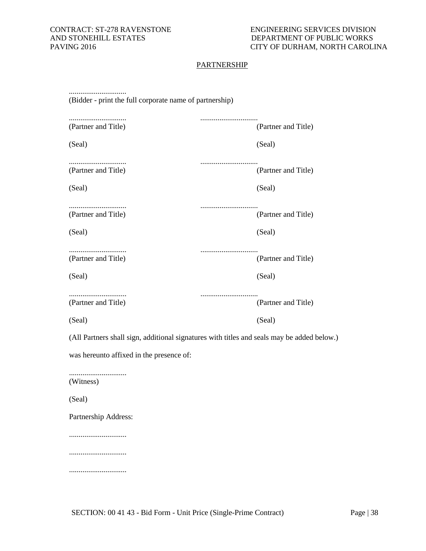# **PARTNERSHIP**

| (Bidder - print the full corporate name of partnership)                                    |                         |  |  |  |
|--------------------------------------------------------------------------------------------|-------------------------|--|--|--|
| (Partner and Title)                                                                        | <br>(Partner and Title) |  |  |  |
| (Seal)                                                                                     | (Seal)                  |  |  |  |
| <br>(Partner and Title)                                                                    | (Partner and Title)     |  |  |  |
| (Seal)                                                                                     | (Seal)                  |  |  |  |
| (Partner and Title)                                                                        | (Partner and Title)     |  |  |  |
| (Seal)                                                                                     | (Seal)                  |  |  |  |
| (Partner and Title)                                                                        | <br>(Partner and Title) |  |  |  |
| (Seal)                                                                                     | (Seal)                  |  |  |  |
| (Partner and Title)                                                                        | (Partner and Title)     |  |  |  |
| (Seal)                                                                                     | (Seal)                  |  |  |  |
| (All Partners shall sign, additional signatures with titles and seals may be added below.) |                         |  |  |  |
| was hereunto affixed in the presence of:                                                   |                         |  |  |  |
| (Witness)                                                                                  |                         |  |  |  |
| (Seal)                                                                                     |                         |  |  |  |
| Partnership Address:                                                                       |                         |  |  |  |
|                                                                                            |                         |  |  |  |
|                                                                                            |                         |  |  |  |

..............................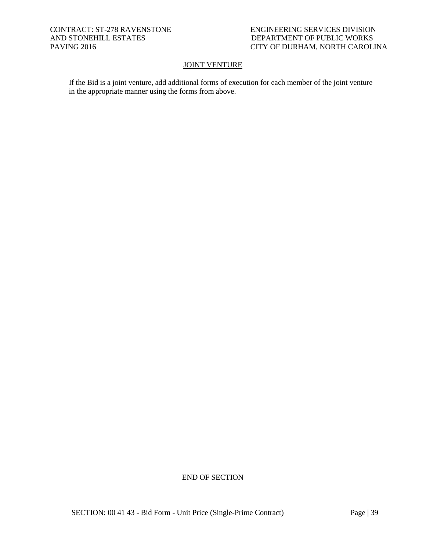## CONTRACT: ST-278 RAVENSTONE ENGINEERING SERVICES DIVISION AND STONEHILL ESTATES DEPARTMENT OF PUBLIC WORKS PAVING 2016 DEPARTMENT OF PUBLIC WORKS CITY OF DURHAM, NORTH CAROLINA

## **JOINT VENTURE**

If the Bid is a joint venture, add additional forms of execution for each member of the joint venture in the appropriate manner using the forms from above.

END OF SECTION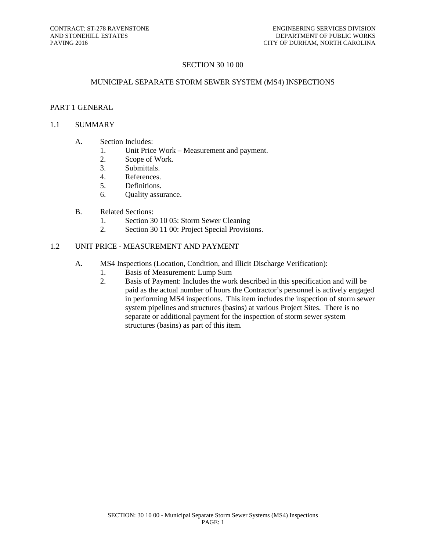# SECTION 30 10 00

#### MUNICIPAL SEPARATE STORM SEWER SYSTEM (MS4) INSPECTIONS

# PART 1 GENERAL

#### 1.1 SUMMARY

- A. Section Includes:
	- 1. Unit Price Work Measurement and payment.
	- 2. Scope of Work.
	- 3. Submittals.
	- 4. References.
	- 5. Definitions.
	- 6. Quality assurance.
- B. Related Sections:
	- 1. Section 30 10 05: Storm Sewer Cleaning
	- 2. Section 30 11 00: Project Special Provisions.

# 1.2 UNIT PRICE - MEASUREMENT AND PAYMENT

- A. MS4 Inspections (Location, Condition, and Illicit Discharge Verification):
	- 1. Basis of Measurement: Lump Sum
		- 2. Basis of Payment: Includes the work described in this specification and will be paid as the actual number of hours the Contractor's personnel is actively engaged in performing MS4 inspections. This item includes the inspection of storm sewer system pipelines and structures (basins) at various Project Sites. There is no separate or additional payment for the inspection of storm sewer system structures (basins) as part of this item.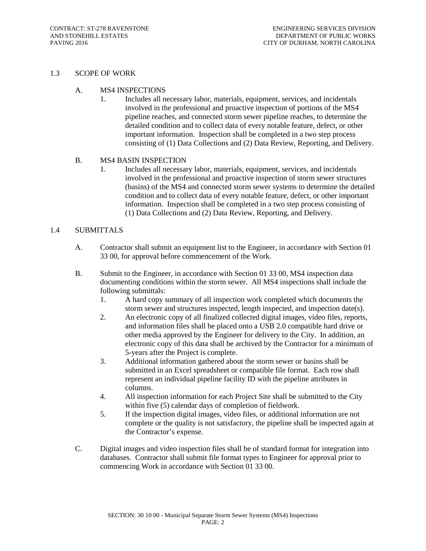## 1.3 SCOPE OF WORK

## A. MS4 INSPECTIONS

1. Includes all necessary labor, materials, equipment, services, and incidentals involved in the professional and proactive inspection of portions of the MS4 pipeline reaches, and connected storm sewer pipeline reaches, to determine the detailed condition and to collect data of every notable feature, defect, or other important information. Inspection shall be completed in a two step process consisting of (1) Data Collections and (2) Data Review, Reporting, and Delivery.

## B. MS4 BASIN INSPECTION

1. Includes all necessary labor, materials, equipment, services, and incidentals involved in the professional and proactive inspection of storm sewer structures (basins) of the MS4 and connected storm sewer systems to determine the detailed condition and to collect data of every notable feature, defect, or other important information. Inspection shall be completed in a two step process consisting of (1) Data Collections and (2) Data Review, Reporting, and Delivery.

# 1.4 SUBMITTALS

- A. Contractor shall submit an equipment list to the Engineer, in accordance with Section 01 33 00, for approval before commencement of the Work.
- B. Submit to the Engineer, in accordance with Section 01 33 00, MS4 inspection data documenting conditions within the storm sewer. All MS4 inspections shall include the following submittals:
	- 1. A hard copy summary of all inspection work completed which documents the storm sewer and structures inspected, length inspected, and inspection date(s).
	- 2. An electronic copy of all finalized collected digital images, video files, reports, and information files shall be placed onto a USB 2.0 compatible hard drive or other media approved by the Engineer for delivery to the City. In addition, an electronic copy of this data shall be archived by the Contractor for a minimum of 5-years after the Project is complete.
	- 3. Additional information gathered about the storm sewer or basins shall be submitted in an Excel spreadsheet or compatible file format. Each row shall represent an individual pipeline facility ID with the pipeline attributes in columns.
	- 4. All inspection information for each Project Site shall be submitted to the City within five (5) calendar days of completion of fieldwork.
	- 5. If the inspection digital images, video files, or additional information are not complete or the quality is not satisfactory, the pipeline shall be inspected again at the Contractor's expense.
- C. Digital images and video inspection files shall be of standard format for integration into databases. Contractor shall submit file format types to Engineer for approval prior to commencing Work in accordance with Section 01 33 00.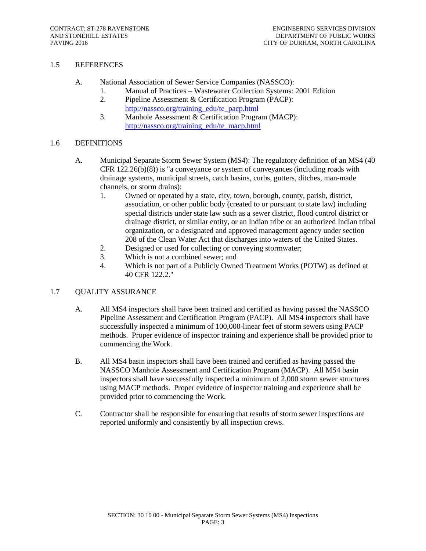## 1.5 REFERENCES

- A. National Association of Sewer Service Companies (NASSCO):
	- 1. Manual of Practices Wastewater Collection Systems: 2001 Edition
	- 2. Pipeline Assessment & Certification Program (PACP): [http://nassco.org/training\\_edu/te\\_pacp.html](http://nassco.org/training_edu/te_pacp.html)
	- 3. Manhole Assessment & Certification Program (MACP): [http://nassco.org/training\\_edu/te\\_macp.html](http://nassco.org/training_edu/te_macp.html)

## 1.6 DEFINITIONS

- A. Municipal Separate Storm Sewer System (MS4): The regulatory definition of an MS4 (40 CFR 122.26(b)(8)) is "a conveyance or system of conveyances (including roads with drainage systems, municipal streets, catch basins, curbs, gutters, ditches, man-made channels, or storm drains):
	- 1. Owned or operated by a state, city, town, borough, county, parish, district, association, or other public body (created to or pursuant to state law) including special districts under state law such as a sewer district, flood control district or drainage district, or similar entity, or an Indian tribe or an authorized Indian tribal organization, or a designated and approved management agency under section 208 of the Clean Water Act that discharges into waters of the United States.
	- 2. Designed or used for collecting or conveying stormwater;
	- 3. Which is not a combined sewer; and
	- 4. Which is not part of a Publicly Owned Treatment Works (POTW) as defined at 40 CFR 122.2."

## 1.7 QUALITY ASSURANCE

- A. All MS4 inspectors shall have been trained and certified as having passed the NASSCO Pipeline Assessment and Certification Program (PACP). All MS4 inspectors shall have successfully inspected a minimum of 100,000-linear feet of storm sewers using PACP methods. Proper evidence of inspector training and experience shall be provided prior to commencing the Work.
- B. All MS4 basin inspectors shall have been trained and certified as having passed the NASSCO Manhole Assessment and Certification Program (MACP). All MS4 basin inspectors shall have successfully inspected a minimum of 2,000 storm sewer structures using MACP methods. Proper evidence of inspector training and experience shall be provided prior to commencing the Work.
- C. Contractor shall be responsible for ensuring that results of storm sewer inspections are reported uniformly and consistently by all inspection crews.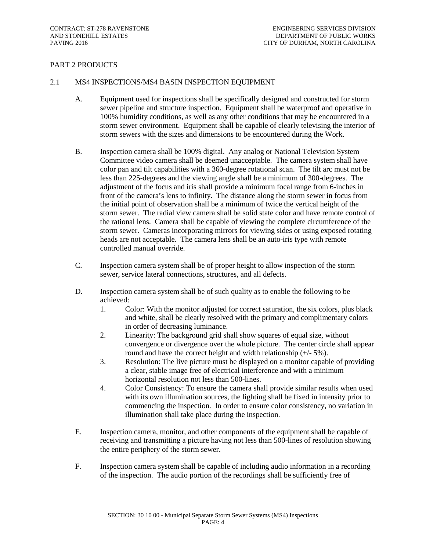# PART 2 PRODUCTS

#### 2.1 MS4 INSPECTIONS/MS4 BASIN INSPECTION EQUIPMENT

- A. Equipment used for inspections shall be specifically designed and constructed for storm sewer pipeline and structure inspection. Equipment shall be waterproof and operative in 100% humidity conditions, as well as any other conditions that may be encountered in a storm sewer environment. Equipment shall be capable of clearly televising the interior of storm sewers with the sizes and dimensions to be encountered during the Work.
- B. Inspection camera shall be 100% digital. Any analog or National Television System Committee video camera shall be deemed unacceptable. The camera system shall have color pan and tilt capabilities with a 360-degree rotational scan. The tilt arc must not be less than 225-degrees and the viewing angle shall be a minimum of 300-degrees. The adjustment of the focus and iris shall provide a minimum focal range from 6-inches in front of the camera's lens to infinity. The distance along the storm sewer in focus from the initial point of observation shall be a minimum of twice the vertical height of the storm sewer. The radial view camera shall be solid state color and have remote control of the rational lens. Camera shall be capable of viewing the complete circumference of the storm sewer. Cameras incorporating mirrors for viewing sides or using exposed rotating heads are not acceptable. The camera lens shall be an auto-iris type with remote controlled manual override.
- C. Inspection camera system shall be of proper height to allow inspection of the storm sewer, service lateral connections, structures, and all defects.
- D. Inspection camera system shall be of such quality as to enable the following to be achieved:
	- 1. Color: With the monitor adjusted for correct saturation, the six colors, plus black and white, shall be clearly resolved with the primary and complimentary colors in order of decreasing luminance.
	- 2. Linearity: The background grid shall show squares of equal size, without convergence or divergence over the whole picture. The center circle shall appear round and have the correct height and width relationship  $(+/-5\%)$ .
	- 3. Resolution: The live picture must be displayed on a monitor capable of providing a clear, stable image free of electrical interference and with a minimum horizontal resolution not less than 500-lines.
	- 4. Color Consistency: To ensure the camera shall provide similar results when used with its own illumination sources, the lighting shall be fixed in intensity prior to commencing the inspection. In order to ensure color consistency, no variation in illumination shall take place during the inspection.
- E. Inspection camera, monitor, and other components of the equipment shall be capable of receiving and transmitting a picture having not less than 500-lines of resolution showing the entire periphery of the storm sewer.
- F. Inspection camera system shall be capable of including audio information in a recording of the inspection. The audio portion of the recordings shall be sufficiently free of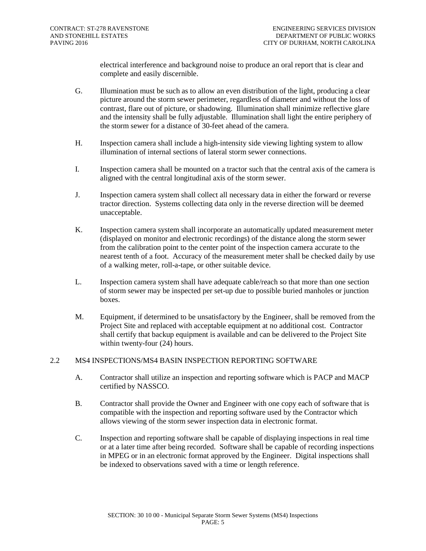electrical interference and background noise to produce an oral report that is clear and complete and easily discernible.

- G. Illumination must be such as to allow an even distribution of the light, producing a clear picture around the storm sewer perimeter, regardless of diameter and without the loss of contrast, flare out of picture, or shadowing. Illumination shall minimize reflective glare and the intensity shall be fully adjustable. Illumination shall light the entire periphery of the storm sewer for a distance of 30-feet ahead of the camera.
- H. Inspection camera shall include a high-intensity side viewing lighting system to allow illumination of internal sections of lateral storm sewer connections.
- I. Inspection camera shall be mounted on a tractor such that the central axis of the camera is aligned with the central longitudinal axis of the storm sewer.
- J. Inspection camera system shall collect all necessary data in either the forward or reverse tractor direction. Systems collecting data only in the reverse direction will be deemed unacceptable.
- K. Inspection camera system shall incorporate an automatically updated measurement meter (displayed on monitor and electronic recordings) of the distance along the storm sewer from the calibration point to the center point of the inspection camera accurate to the nearest tenth of a foot. Accuracy of the measurement meter shall be checked daily by use of a walking meter, roll-a-tape, or other suitable device.
- L. Inspection camera system shall have adequate cable/reach so that more than one section of storm sewer may be inspected per set-up due to possible buried manholes or junction boxes.
- M. Equipment, if determined to be unsatisfactory by the Engineer, shall be removed from the Project Site and replaced with acceptable equipment at no additional cost. Contractor shall certify that backup equipment is available and can be delivered to the Project Site within twenty-four (24) hours.

#### 2.2 MS4 INSPECTIONS/MS4 BASIN INSPECTION REPORTING SOFTWARE

- A. Contractor shall utilize an inspection and reporting software which is PACP and MACP certified by NASSCO.
- B. Contractor shall provide the Owner and Engineer with one copy each of software that is compatible with the inspection and reporting software used by the Contractor which allows viewing of the storm sewer inspection data in electronic format.
- C. Inspection and reporting software shall be capable of displaying inspections in real time or at a later time after being recorded. Software shall be capable of recording inspections in MPEG or in an electronic format approved by the Engineer. Digital inspections shall be indexed to observations saved with a time or length reference.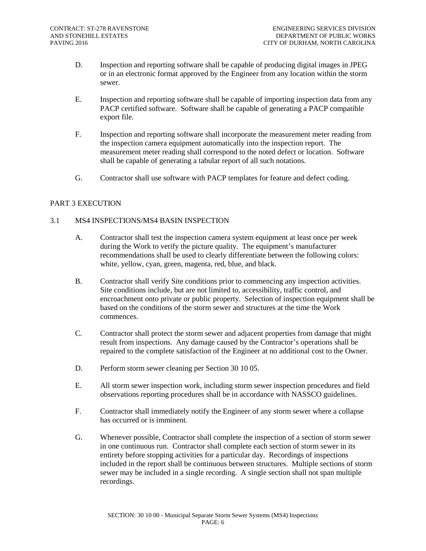- D. Inspection and reporting software shall be capable of producing digital images in JPEG or in an electronic format approved by the Engineer from any location within the storm sewer.
- E. Inspection and reporting software shall be capable of importing inspection data from any PACP certified software. Software shall be capable of generating a PACP compatible export file.
- F. Inspection and reporting software shall incorporate the measurement meter reading from the inspection camera equipment automatically into the inspection report. The measurement meter reading shall correspond to the noted defect or location. Software shall be capable of generating a tabular report of all such notations.
- G. Contractor shall use software with PACP templates for feature and defect coding.

# PART 3 EXECUTION

# 3.1 MS4 INSPECTIONS/MS4 BASIN INSPECTION

- A. Contractor shall test the inspection camera system equipment at least once per week during the Work to verify the picture quality. The equipment's manufacturer recommendations shall be used to clearly differentiate between the following colors: white, yellow, cyan, green, magenta, red, blue, and black.
- B. Contractor shall verify Site conditions prior to commencing any inspection activities. Site conditions include, but are not limited to, accessibility, traffic control, and encroachment onto private or public property. Selection of inspection equipment shall be based on the conditions of the storm sewer and structures at the time the Work commences.
- C. Contractor shall protect the storm sewer and adjacent properties from damage that might result from inspections. Any damage caused by the Contractor's operations shall be repaired to the complete satisfaction of the Engineer at no additional cost to the Owner.
- D. Perform storm sewer cleaning per Section 30 10 05.
- E. All storm sewer inspection work, including storm sewer inspection procedures and field observations reporting procedures shall be in accordance with NASSCO guidelines.
- F. Contractor shall immediately notify the Engineer of any storm sewer where a collapse has occurred or is imminent.
- G. Whenever possible, Contractor shall complete the inspection of a section of storm sewer in one continuous run. Contractor shall complete each section of storm sewer in its entirety before stopping activities for a particular day. Recordings of inspections included in the report shall be continuous between structures. Multiple sections of storm sewer may be included in a single recording. A single section shall not span multiple recordings.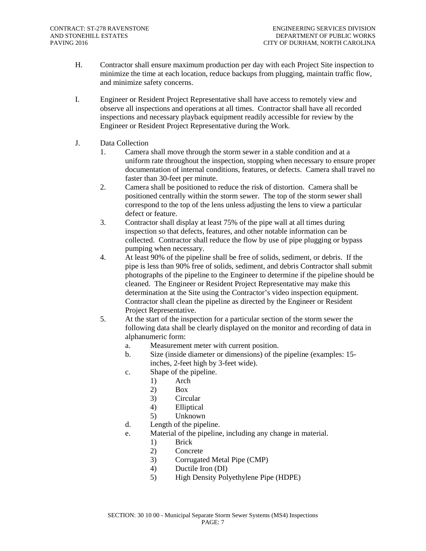- H. Contractor shall ensure maximum production per day with each Project Site inspection to minimize the time at each location, reduce backups from plugging, maintain traffic flow, and minimize safety concerns.
- I. Engineer or Resident Project Representative shall have access to remotely view and observe all inspections and operations at all times. Contractor shall have all recorded inspections and necessary playback equipment readily accessible for review by the Engineer or Resident Project Representative during the Work.
- J. Data Collection
	- 1. Camera shall move through the storm sewer in a stable condition and at a uniform rate throughout the inspection, stopping when necessary to ensure proper documentation of internal conditions, features, or defects. Camera shall travel no faster than 30-feet per minute.
	- 2. Camera shall be positioned to reduce the risk of distortion. Camera shall be positioned centrally within the storm sewer. The top of the storm sewer shall correspond to the top of the lens unless adjusting the lens to view a particular defect or feature.
	- 3. Contractor shall display at least 75% of the pipe wall at all times during inspection so that defects, features, and other notable information can be collected. Contractor shall reduce the flow by use of pipe plugging or bypass pumping when necessary.
	- 4. At least 90% of the pipeline shall be free of solids, sediment, or debris. If the pipe is less than 90% free of solids, sediment, and debris Contractor shall submit photographs of the pipeline to the Engineer to determine if the pipeline should be cleaned. The Engineer or Resident Project Representative may make this determination at the Site using the Contractor's video inspection equipment. Contractor shall clean the pipeline as directed by the Engineer or Resident Project Representative.
	- 5. At the start of the inspection for a particular section of the storm sewer the following data shall be clearly displayed on the monitor and recording of data in alphanumeric form:
		- a. Measurement meter with current position.
		- b. Size (inside diameter or dimensions) of the pipeline (examples: 15 inches, 2-feet high by 3-feet wide).
		- c. Shape of the pipeline.
			- 1) Arch
			- 2) Box
			- 3) Circular
			- 4) Elliptical
			- 5) Unknown
		- d. Length of the pipeline.
		- e. Material of the pipeline, including any change in material.
			- 1) Brick
			- 2) Concrete
			- 3) Corrugated Metal Pipe (CMP)
			- 4) Ductile Iron (DI)
			- 5) High Density Polyethylene Pipe (HDPE)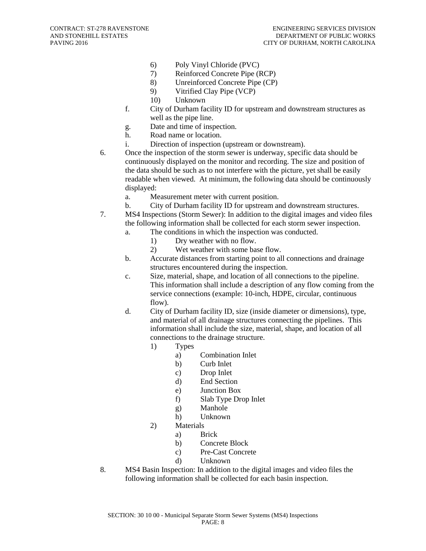- 6) Poly Vinyl Chloride (PVC)
- 7) Reinforced Concrete Pipe (RCP)
- 8) Unreinforced Concrete Pipe (CP)
- 9) Vitrified Clay Pipe (VCP)
- 10) Unknown
- f. City of Durham facility ID for upstream and downstream structures as well as the pipe line.
- g. Date and time of inspection.
- h. Road name or location.
- i. Direction of inspection (upstream or downstream).
- 6. Once the inspection of the storm sewer is underway, specific data should be continuously displayed on the monitor and recording. The size and position of the data should be such as to not interfere with the picture, yet shall be easily readable when viewed. At minimum, the following data should be continuously displayed:
	- a. Measurement meter with current position.
	- b. City of Durham facility ID for upstream and downstream structures.
- 7. MS4 Inspections (Storm Sewer): In addition to the digital images and video files the following information shall be collected for each storm sewer inspection.
	- a. The conditions in which the inspection was conducted.
		- 1) Dry weather with no flow.
		- 2) Wet weather with some base flow.
	- b. Accurate distances from starting point to all connections and drainage structures encountered during the inspection.
	- c. Size, material, shape, and location of all connections to the pipeline. This information shall include a description of any flow coming from the service connections (example: 10-inch, HDPE, circular, continuous flow).
	- d. City of Durham facility ID, size (inside diameter or dimensions), type, and material of all drainage structures connecting the pipelines. This information shall include the size, material, shape, and location of all connections to the drainage structure.
		- 1) Types
			- a) Combination Inlet
			- b) Curb Inlet
			- c) Drop Inlet
			- d) End Section
			- e) Junction Box
			- f) Slab Type Drop Inlet
			- g) Manhole
			- h) Unknown
		- 2) Materials
			- a) Brick
			- b) Concrete Block
			- c) Pre-Cast Concrete
			- d) Unknown
- 8. MS4 Basin Inspection: In addition to the digital images and video files the following information shall be collected for each basin inspection.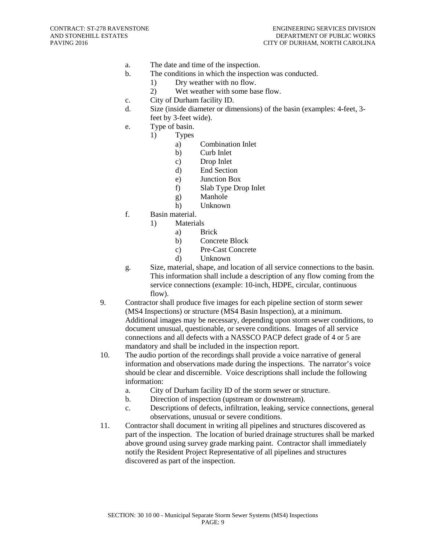- a. The date and time of the inspection.
- b. The conditions in which the inspection was conducted.
	- 1) Dry weather with no flow.
	- 2) Wet weather with some base flow.
- c. City of Durham facility ID.
- d. Size (inside diameter or dimensions) of the basin (examples: 4-feet, 3 feet by 3-feet wide).
- e. Type of basin.
	- 1) Types
		- a) Combination Inlet
		- b) Curb Inlet
		- c) Drop Inlet
		- d) End Section
		- e) Junction Box
		- f) Slab Type Drop Inlet
		- g) Manhole
		- h) Unknown
- f. Basin material.
	- 1) Materials
		- a) Brick
		- b) Concrete Block
		- c) Pre-Cast Concrete
		- d) Unknown
- g. Size, material, shape, and location of all service connections to the basin. This information shall include a description of any flow coming from the service connections (example: 10-inch, HDPE, circular, continuous flow).
- 9. Contractor shall produce five images for each pipeline section of storm sewer (MS4 Inspections) or structure (MS4 Basin Inspection), at a minimum. Additional images may be necessary, depending upon storm sewer conditions, to document unusual, questionable, or severe conditions. Images of all service connections and all defects with a NASSCO PACP defect grade of 4 or 5 are mandatory and shall be included in the inspection report.
- 10. The audio portion of the recordings shall provide a voice narrative of general information and observations made during the inspections. The narrator's voice should be clear and discernible. Voice descriptions shall include the following information:
	- a. City of Durham facility ID of the storm sewer or structure.
	- b. Direction of inspection (upstream or downstream).
	- c. Descriptions of defects, infiltration, leaking, service connections, general observations, unusual or severe conditions.
- 11. Contractor shall document in writing all pipelines and structures discovered as part of the inspection. The location of buried drainage structures shall be marked above ground using survey grade marking paint. Contractor shall immediately notify the Resident Project Representative of all pipelines and structures discovered as part of the inspection.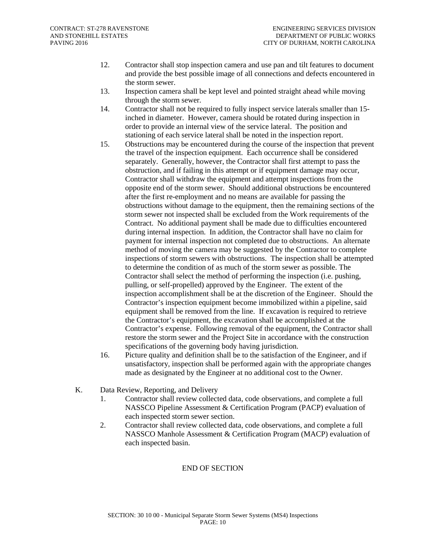- 12. Contractor shall stop inspection camera and use pan and tilt features to document and provide the best possible image of all connections and defects encountered in the storm sewer.
- 13. Inspection camera shall be kept level and pointed straight ahead while moving through the storm sewer.
- 14. Contractor shall not be required to fully inspect service laterals smaller than 15 inched in diameter. However, camera should be rotated during inspection in order to provide an internal view of the service lateral. The position and stationing of each service lateral shall be noted in the inspection report.
- 15. Obstructions may be encountered during the course of the inspection that prevent the travel of the inspection equipment. Each occurrence shall be considered separately. Generally, however, the Contractor shall first attempt to pass the obstruction, and if failing in this attempt or if equipment damage may occur, Contractor shall withdraw the equipment and attempt inspections from the opposite end of the storm sewer. Should additional obstructions be encountered after the first re-employment and no means are available for passing the obstructions without damage to the equipment, then the remaining sections of the storm sewer not inspected shall be excluded from the Work requirements of the Contract. No additional payment shall be made due to difficulties encountered during internal inspection. In addition, the Contractor shall have no claim for payment for internal inspection not completed due to obstructions. An alternate method of moving the camera may be suggested by the Contractor to complete inspections of storm sewers with obstructions. The inspection shall be attempted to determine the condition of as much of the storm sewer as possible. The Contractor shall select the method of performing the inspection (i.e. pushing, pulling, or self-propelled) approved by the Engineer. The extent of the inspection accomplishment shall be at the discretion of the Engineer. Should the Contractor's inspection equipment become immobilized within a pipeline, said equipment shall be removed from the line. If excavation is required to retrieve the Contractor's equipment, the excavation shall be accomplished at the Contractor's expense. Following removal of the equipment, the Contractor shall restore the storm sewer and the Project Site in accordance with the construction specifications of the governing body having jurisdiction.
- 16. Picture quality and definition shall be to the satisfaction of the Engineer, and if unsatisfactory, inspection shall be performed again with the appropriate changes made as designated by the Engineer at no additional cost to the Owner.
- K. Data Review, Reporting, and Delivery
	- 1. Contractor shall review collected data, code observations, and complete a full NASSCO Pipeline Assessment & Certification Program (PACP) evaluation of each inspected storm sewer section.
	- 2. Contractor shall review collected data, code observations, and complete a full NASSCO Manhole Assessment & Certification Program (MACP) evaluation of each inspected basin.

## END OF SECTION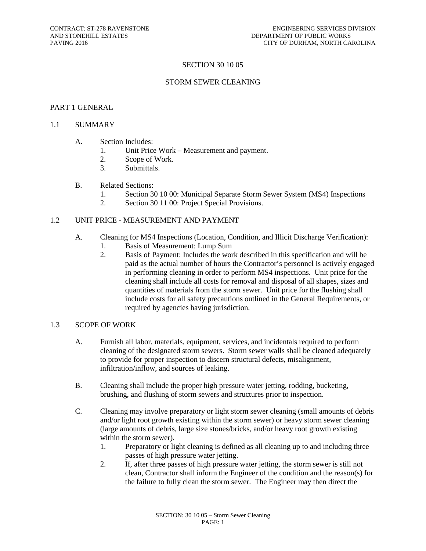## SECTION 30 10 05

## STORM SEWER CLEANING

#### PART 1 GENERAL

### 1.1 SUMMARY

- A. Section Includes:
	- 1. Unit Price Work Measurement and payment.
	- 2. Scope of Work.
	- 3. Submittals.

#### B. Related Sections:

- 1. Section 30 10 00: Municipal Separate Storm Sewer System (MS4) Inspections
- 2. Section 30 11 00: Project Special Provisions.

## 1.2 UNIT PRICE - MEASUREMENT AND PAYMENT

- A. Cleaning for MS4 Inspections (Location, Condition, and Illicit Discharge Verification):
	- 1. Basis of Measurement: Lump Sum
	- 2. Basis of Payment: Includes the work described in this specification and will be paid as the actual number of hours the Contractor's personnel is actively engaged in performing cleaning in order to perform MS4 inspections. Unit price for the cleaning shall include all costs for removal and disposal of all shapes, sizes and quantities of materials from the storm sewer. Unit price for the flushing shall include costs for all safety precautions outlined in the General Requirements, or required by agencies having jurisdiction.

#### 1.3 SCOPE OF WORK

- A. Furnish all labor, materials, equipment, services, and incidentals required to perform cleaning of the designated storm sewers. Storm sewer walls shall be cleaned adequately to provide for proper inspection to discern structural defects, misalignment, infiltration/inflow, and sources of leaking.
- B. Cleaning shall include the proper high pressure water jetting, rodding, bucketing, brushing, and flushing of storm sewers and structures prior to inspection.
- C. Cleaning may involve preparatory or light storm sewer cleaning (small amounts of debris and/or light root growth existing within the storm sewer) or heavy storm sewer cleaning (large amounts of debris, large size stones/bricks, and/or heavy root growth existing within the storm sewer).
	- 1. Preparatory or light cleaning is defined as all cleaning up to and including three passes of high pressure water jetting.
	- 2. If, after three passes of high pressure water jetting, the storm sewer is still not clean, Contractor shall inform the Engineer of the condition and the reason(s) for the failure to fully clean the storm sewer. The Engineer may then direct the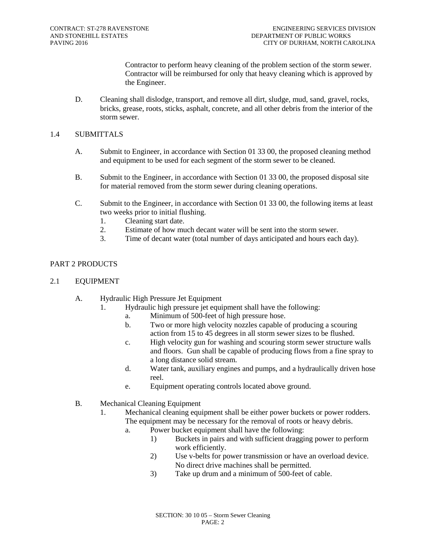Contractor to perform heavy cleaning of the problem section of the storm sewer. Contractor will be reimbursed for only that heavy cleaning which is approved by the Engineer.

D. Cleaning shall dislodge, transport, and remove all dirt, sludge, mud, sand, gravel, rocks, bricks, grease, roots, sticks, asphalt, concrete, and all other debris from the interior of the storm sewer.

# 1.4 SUBMITTALS

- A. Submit to Engineer, in accordance with Section 01 33 00, the proposed cleaning method and equipment to be used for each segment of the storm sewer to be cleaned.
- B. Submit to the Engineer, in accordance with Section 01 33 00, the proposed disposal site for material removed from the storm sewer during cleaning operations.
- C. Submit to the Engineer, in accordance with Section 01 33 00, the following items at least two weeks prior to initial flushing.
	- 1. Cleaning start date.<br>2. Estimate of how mu
	- 2. Estimate of how much decant water will be sent into the storm sewer.<br>3. Time of decant water (total number of days anticipated and hours each
	- Time of decant water (total number of days anticipated and hours each day).

# PART 2 PRODUCTS

- 2.1 EQUIPMENT
	- A. Hydraulic High Pressure Jet Equipment
		- 1. Hydraulic high pressure jet equipment shall have the following:
			- a. Minimum of 500-feet of high pressure hose.
			- b. Two or more high velocity nozzles capable of producing a scouring action from 15 to 45 degrees in all storm sewer sizes to be flushed.
			- c. High velocity gun for washing and scouring storm sewer structure walls and floors. Gun shall be capable of producing flows from a fine spray to a long distance solid stream.
			- d. Water tank, auxiliary engines and pumps, and a hydraulically driven hose reel.
			- e. Equipment operating controls located above ground.
	- B. Mechanical Cleaning Equipment
		- 1. Mechanical cleaning equipment shall be either power buckets or power rodders. The equipment may be necessary for the removal of roots or heavy debris.
			- a. Power bucket equipment shall have the following:
				- 1) Buckets in pairs and with sufficient dragging power to perform work efficiently.
				- 2) Use v-belts for power transmission or have an overload device. No direct drive machines shall be permitted.
				- 3) Take up drum and a minimum of 500-feet of cable.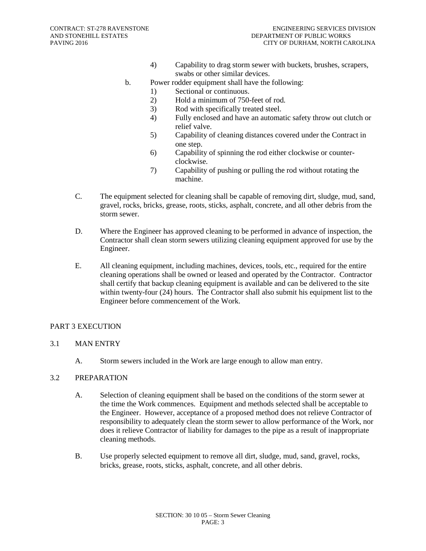- 4) Capability to drag storm sewer with buckets, brushes, scrapers, swabs or other similar devices.
- b. Power rodder equipment shall have the following:
	- 1) Sectional or continuous.
	- 2) Hold a minimum of 750-feet of rod.
	- 3) Rod with specifically treated steel.
	- 4) Fully enclosed and have an automatic safety throw out clutch or relief valve.
	- 5) Capability of cleaning distances covered under the Contract in one step.
	- 6) Capability of spinning the rod either clockwise or counterclockwise.
	- 7) Capability of pushing or pulling the rod without rotating the machine.
- C. The equipment selected for cleaning shall be capable of removing dirt, sludge, mud, sand, gravel, rocks, bricks, grease, roots, sticks, asphalt, concrete, and all other debris from the storm sewer.
- D. Where the Engineer has approved cleaning to be performed in advance of inspection, the Contractor shall clean storm sewers utilizing cleaning equipment approved for use by the Engineer.
- E. All cleaning equipment, including machines, devices, tools, etc., required for the entire cleaning operations shall be owned or leased and operated by the Contractor. Contractor shall certify that backup cleaning equipment is available and can be delivered to the site within twenty-four (24) hours. The Contractor shall also submit his equipment list to the Engineer before commencement of the Work.

# PART 3 EXECUTION

# 3.1 MAN ENTRY

A. Storm sewers included in the Work are large enough to allow man entry.

# 3.2 PREPARATION

- A. Selection of cleaning equipment shall be based on the conditions of the storm sewer at the time the Work commences. Equipment and methods selected shall be acceptable to the Engineer. However, acceptance of a proposed method does not relieve Contractor of responsibility to adequately clean the storm sewer to allow performance of the Work, nor does it relieve Contractor of liability for damages to the pipe as a result of inappropriate cleaning methods.
- B. Use properly selected equipment to remove all dirt, sludge, mud, sand, gravel, rocks, bricks, grease, roots, sticks, asphalt, concrete, and all other debris.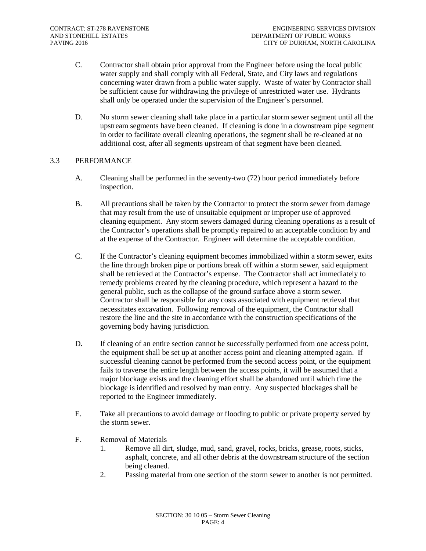- C. Contractor shall obtain prior approval from the Engineer before using the local public water supply and shall comply with all Federal, State, and City laws and regulations concerning water drawn from a public water supply. Waste of water by Contractor shall be sufficient cause for withdrawing the privilege of unrestricted water use. Hydrants shall only be operated under the supervision of the Engineer's personnel.
- D. No storm sewer cleaning shall take place in a particular storm sewer segment until all the upstream segments have been cleaned. If cleaning is done in a downstream pipe segment in order to facilitate overall cleaning operations, the segment shall be re-cleaned at no additional cost, after all segments upstream of that segment have been cleaned.

# 3.3 PERFORMANCE

- A. Cleaning shall be performed in the seventy-two (72) hour period immediately before inspection.
- B. All precautions shall be taken by the Contractor to protect the storm sewer from damage that may result from the use of unsuitable equipment or improper use of approved cleaning equipment. Any storm sewers damaged during cleaning operations as a result of the Contractor's operations shall be promptly repaired to an acceptable condition by and at the expense of the Contractor. Engineer will determine the acceptable condition.
- C. If the Contractor's cleaning equipment becomes immobilized within a storm sewer, exits the line through broken pipe or portions break off within a storm sewer, said equipment shall be retrieved at the Contractor's expense. The Contractor shall act immediately to remedy problems created by the cleaning procedure, which represent a hazard to the general public, such as the collapse of the ground surface above a storm sewer. Contractor shall be responsible for any costs associated with equipment retrieval that necessitates excavation. Following removal of the equipment, the Contractor shall restore the line and the site in accordance with the construction specifications of the governing body having jurisdiction.
- D. If cleaning of an entire section cannot be successfully performed from one access point, the equipment shall be set up at another access point and cleaning attempted again. If successful cleaning cannot be performed from the second access point, or the equipment fails to traverse the entire length between the access points, it will be assumed that a major blockage exists and the cleaning effort shall be abandoned until which time the blockage is identified and resolved by man entry. Any suspected blockages shall be reported to the Engineer immediately.
- E. Take all precautions to avoid damage or flooding to public or private property served by the storm sewer.
- F. Removal of Materials
	- 1. Remove all dirt, sludge, mud, sand, gravel, rocks, bricks, grease, roots, sticks, asphalt, concrete, and all other debris at the downstream structure of the section being cleaned.
	- 2. Passing material from one section of the storm sewer to another is not permitted.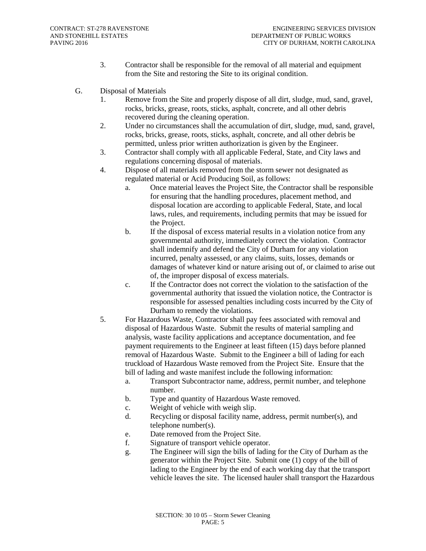- 3. Contractor shall be responsible for the removal of all material and equipment from the Site and restoring the Site to its original condition.
- G. Disposal of Materials
	- 1. Remove from the Site and properly dispose of all dirt, sludge, mud, sand, gravel, rocks, bricks, grease, roots, sticks, asphalt, concrete, and all other debris recovered during the cleaning operation.
	- 2. Under no circumstances shall the accumulation of dirt, sludge, mud, sand, gravel, rocks, bricks, grease, roots, sticks, asphalt, concrete, and all other debris be permitted, unless prior written authorization is given by the Engineer.
	- 3. Contractor shall comply with all applicable Federal, State, and City laws and regulations concerning disposal of materials.
	- 4. Dispose of all materials removed from the storm sewer not designated as regulated material or Acid Producing Soil, as follows:
		- a. Once material leaves the Project Site, the Contractor shall be responsible for ensuring that the handling procedures, placement method, and disposal location are according to applicable Federal, State, and local laws, rules, and requirements, including permits that may be issued for the Project.
		- b. If the disposal of excess material results in a violation notice from any governmental authority, immediately correct the violation. Contractor shall indemnify and defend the City of Durham for any violation incurred, penalty assessed, or any claims, suits, losses, demands or damages of whatever kind or nature arising out of, or claimed to arise out of, the improper disposal of excess materials.
		- c. If the Contractor does not correct the violation to the satisfaction of the governmental authority that issued the violation notice, the Contractor is responsible for assessed penalties including costs incurred by the City of Durham to remedy the violations.
	- 5. For Hazardous Waste, Contractor shall pay fees associated with removal and disposal of Hazardous Waste. Submit the results of material sampling and analysis, waste facility applications and acceptance documentation, and fee payment requirements to the Engineer at least fifteen (15) days before planned removal of Hazardous Waste. Submit to the Engineer a bill of lading for each truckload of Hazardous Waste removed from the Project Site. Ensure that the bill of lading and waste manifest include the following information:
		- a. Transport Subcontractor name, address, permit number, and telephone number.
		- b. Type and quantity of Hazardous Waste removed.
		- c. Weight of vehicle with weigh slip.
		- d. Recycling or disposal facility name, address, permit number(s), and telephone number(s).
		- e. Date removed from the Project Site.
		- f. Signature of transport vehicle operator.
		- g. The Engineer will sign the bills of lading for the City of Durham as the generator within the Project Site. Submit one (1) copy of the bill of lading to the Engineer by the end of each working day that the transport vehicle leaves the site. The licensed hauler shall transport the Hazardous